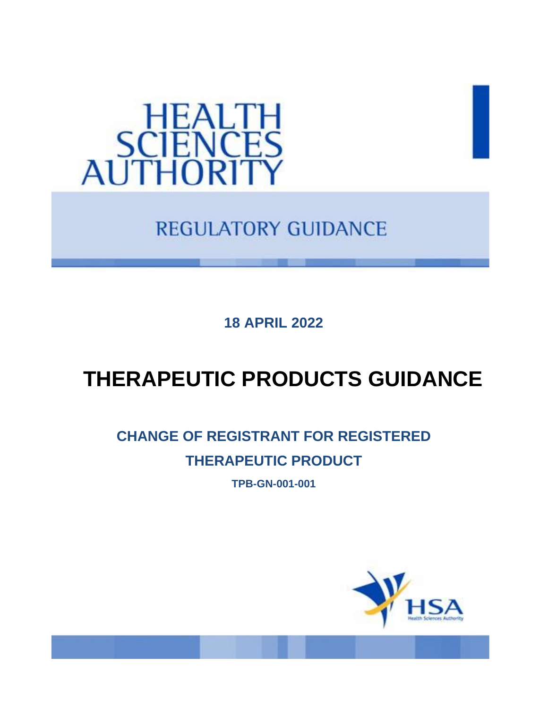

**REGULATORY GUIDANCE** 

**18 APRIL 2022**

## **THERAPEUTIC PRODUCTS GUIDANCE**

### **CHANGE OF REGISTRANT FOR REGISTERED THERAPEUTIC PRODUCT**

**TPB-GN-001-001**

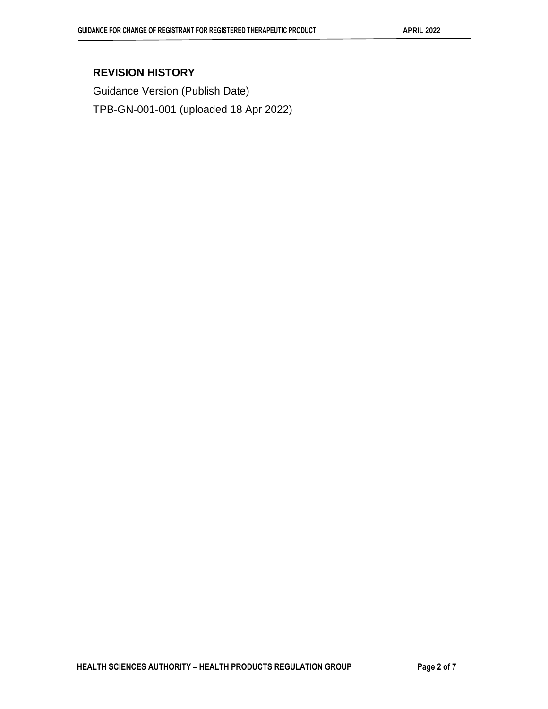#### **REVISION HISTORY**

Guidance Version (Publish Date) TPB-GN-001-001 (uploaded 18 Apr 2022)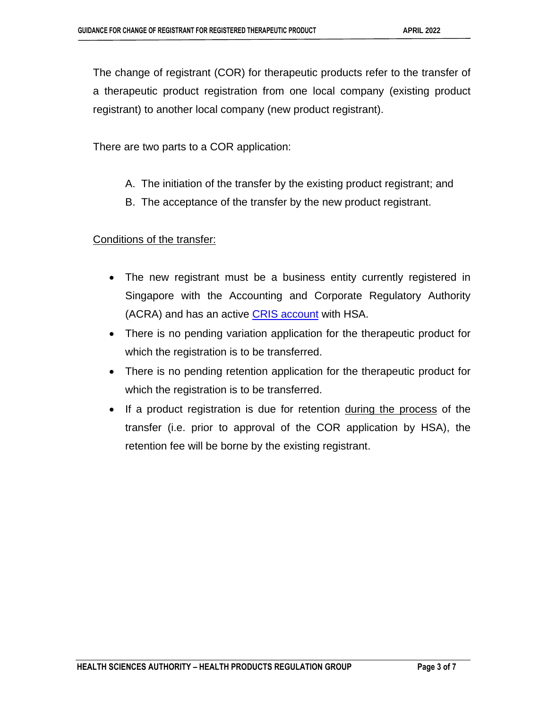The change of registrant (COR) for therapeutic products refer to the transfer of a therapeutic product registration from one local company (existing product registrant) to another local company (new product registrant).

There are two parts to a COR application:

- A. The initiation of the transfer by the existing product registrant; and
- B. The acceptance of the transfer by the new product registrant.

Conditions of the transfer:

- The new registrant must be a business entity currently registered in Singapore with the Accounting and Corporate Regulatory Authority (ACRA) and has an active [CRIS account](https://www.hsa.gov.sg/e-services/cris) with HSA.
- There is no pending variation application for the therapeutic product for which the registration is to be transferred.
- There is no pending retention application for the therapeutic product for which the registration is to be transferred.
- If a product registration is due for retention during the process of the transfer (i.e. prior to approval of the COR application by HSA), the retention fee will be borne by the existing registrant.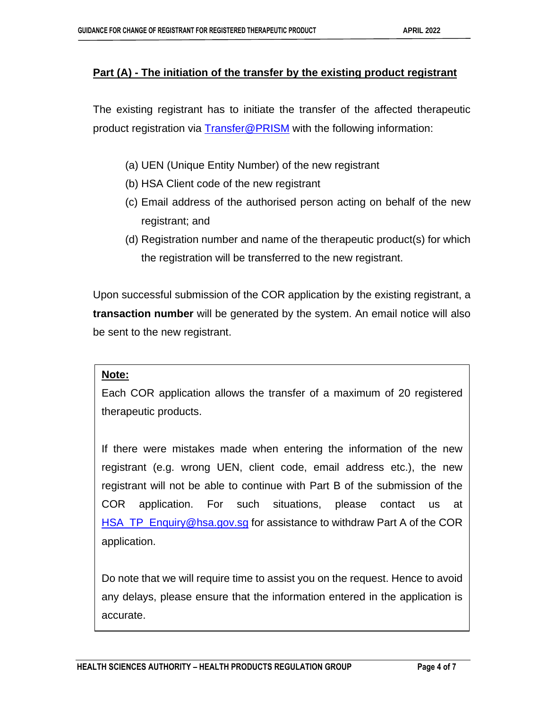#### **Part (A) - The initiation of the transfer by the existing product registrant**

The existing registrant has to initiate the transfer of the affected therapeutic product registration via [Transfer@PRISM](http://www.hsa.gov.sg/content/hsa/en/Health_Products_Regulation/PRISM_e-services/Drugs_and_Biologicals.html#TransferLicence) with the following information:

- (a) UEN (Unique Entity Number) of the new registrant
- (b) HSA Client code of the new registrant
- (c) Email address of the authorised person acting on behalf of the new registrant; and
- (d) Registration number and name of the therapeutic product(s) for which the registration will be transferred to the new registrant.

Upon successful submission of the COR application by the existing registrant, a **transaction number** will be generated by the system. An email notice will also be sent to the new registrant.

#### **Note:**

Each COR application allows the transfer of a maximum of 20 registered therapeutic products.

If there were mistakes made when entering the information of the new registrant (e.g. wrong UEN, client code, email address etc.), the new registrant will not be able to continue with Part B of the submission of the COR application. For such situations, please contact us at [HSA\\_TP\\_Enquiry@hsa.gov.sg](mailto:HSA_TP_Enquiry@hsa.gov.sg) for assistance to withdraw Part A of the COR application.

Do note that we will require time to assist you on the request. Hence to avoid any delays, please ensure that the information entered in the application is accurate.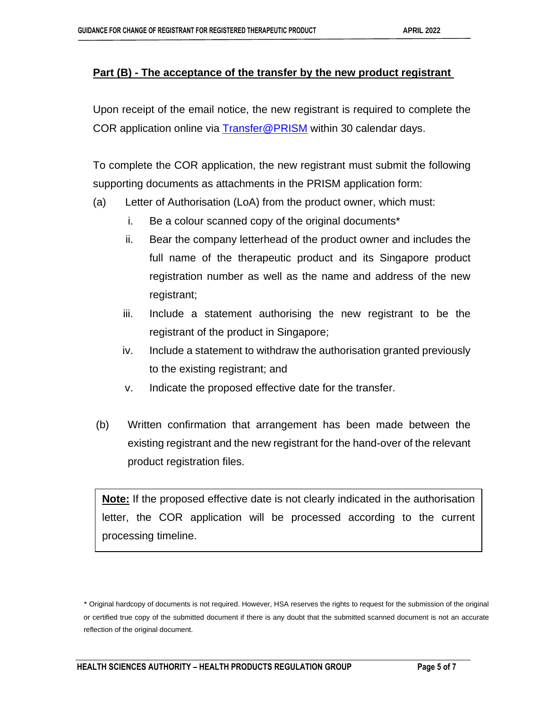#### **Part (B) - The acceptance of the transfer by the new product registrant**

Upon receipt of the email notice, the new registrant is required to complete the COR application online via [Transfer@PRISM](http://www.hsa.gov.sg/content/hsa/en/Health_Products_Regulation/PRISM_e-services/Drugs_and_Biologicals.html#TransferLicence) within 30 calendar days.

To complete the COR application, the new registrant must submit the following supporting documents as attachments in the PRISM application form:

- (a) Letter of Authorisation (LoA) from the product owner, which must:
	- i. Be a colour scanned copy of the original documents\*
	- ii. Bear the company letterhead of the product owner and includes the full name of the therapeutic product and its Singapore product registration number as well as the name and address of the new registrant;
	- iii. Include a statement authorising the new registrant to be the registrant of the product in Singapore;
	- iv. Include a statement to withdraw the authorisation granted previously to the existing registrant; and
	- v. Indicate the proposed effective date for the transfer.
- (b) Written confirmation that arrangement has been made between the existing registrant and the new registrant for the hand-over of the relevant product registration files.

**Note:** If the proposed effective date is not clearly indicated in the authorisation letter, the COR application will be processed according to the current processing timeline.

<sup>\*</sup> Original hardcopy of documents is not required. However, HSA reserves the rights to request for the submission of the original or certified true copy of the submitted document if there is any doubt that the submitted scanned document is not an accurate reflection of the original document.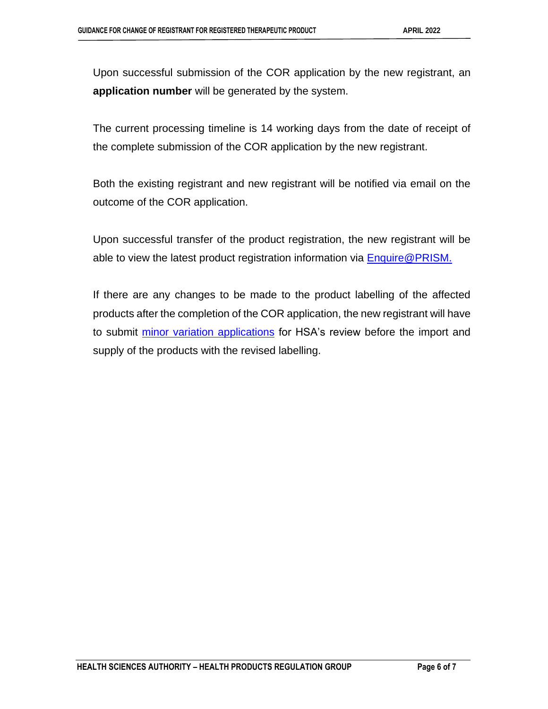Upon successful submission of the COR application by the new registrant, an **application number** will be generated by the system.

The current processing timeline is 14 working days from the date of receipt of the complete submission of the COR application by the new registrant.

Both the existing registrant and new registrant will be notified via email on the outcome of the COR application.

Upon successful transfer of the product registration, the new registrant will be able to view the latest product registration information via **Enquire@PRISM.** 

If there are any changes to be made to the product labelling of the affected products after the completion of the COR application, the new registrant will have to submit [minor variation applications](https://ap-southeast-1-https/www.hsa.gov.sg/therapeutic-products/variation-application/overview) for HSA's review before the import and supply of the products with the revised labelling.